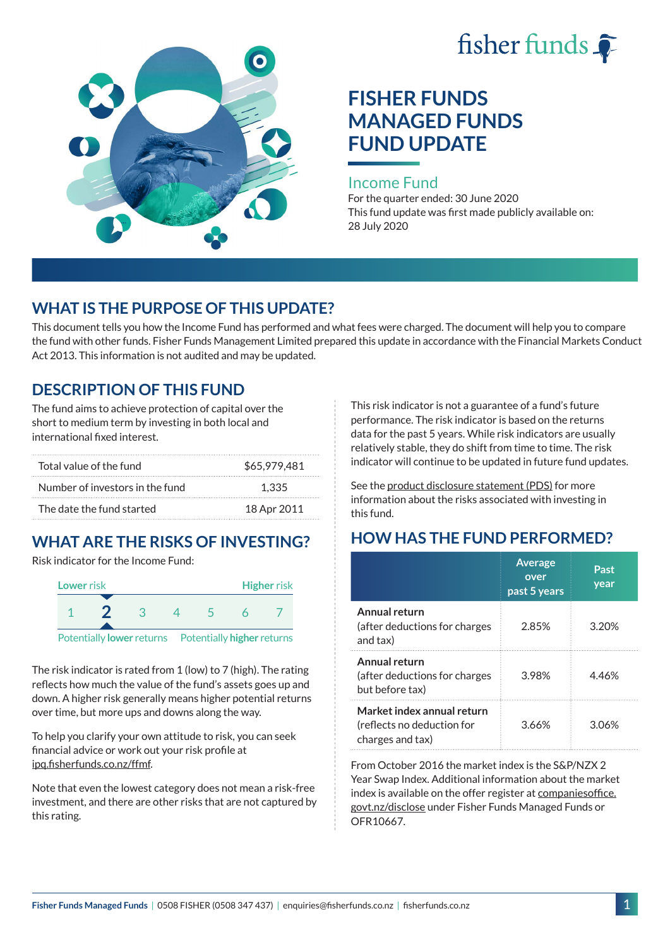



# **FISHER FUNDS MANAGED FUNDS FUND UPDATE**

#### Income Fund

For the quarter ended: 30 June 2020 This fund update was first made publicly available on: 28 July 2020

### **WHAT IS THE PURPOSE OF THIS UPDATE?**

This document tells you how the Income Fund has performed and what fees were charged. The document will help you to compare the fund with other funds. Fisher Funds Management Limited prepared this update in accordance with the Financial Markets Conduct Act 2013. This information is not audited and may be updated.

### **DESCRIPTION OF THIS FUND**

The fund aims to achieve protection of capital over the short to medium term by investing in both local and international fixed interest.

| Total value of the fund         | \$65,979,481 |
|---------------------------------|--------------|
| Number of investors in the fund | 1.335        |
| The date the fund started       | 18 Apr 2011  |

## **WHAT ARE THE RISKS OF INVESTING?**

Risk indicator for the Income Fund:



The risk indicator is rated from 1 (low) to 7 (high). The rating reflects how much the value of the fund's assets goes up and down. A higher risk generally means higher potential returns over time, but more ups and downs along the way.

To help you clarify your own attitude to risk, you can seek financial advice or work out your risk profile at [ipq.fisherfunds.co.nz/ffmf.](https://ipq.fisherfunds.co.nz/ffmf)

Note that even the lowest category does not mean a risk-free investment, and there are other risks that are not captured by this rating.

This risk indicator is not a guarantee of a fund's future performance. The risk indicator is based on the returns data for the past 5 years. While risk indicators are usually relatively stable, they do shift from time to time. The risk indicator will continue to be updated in future fund updates.

See the [product disclosure statement \(PDS\)](https://fisherfunds.co.nz/assets/PDS/Fisher-Funds-Managed-Funds-PDS.pdf) for more information about the risks associated with investing in this fund.

## **HOW HAS THE FUND PERFORMED?**

|                                                                              | <b>Average</b><br>over<br>past 5 years | Past<br>year |
|------------------------------------------------------------------------------|----------------------------------------|--------------|
| Annual return<br>(after deductions for charges<br>and tax)                   | 2.85%                                  | 3.20%        |
| Annual return<br>(after deductions for charges<br>but before tax)            | 3.98%                                  | 446%         |
| Market index annual return<br>(reflects no deduction for<br>charges and tax) | 3.66%                                  | 3.06%        |

From October 2016 the market index is the S&P/NZX 2 Year Swap Index. Additional information about the market index is available on the offer register at [companiesoffice.](http://companiesoffice.govt.nz/disclose) [govt.nz/disclose](http://companiesoffice.govt.nz/disclose) under Fisher Funds Managed Funds or OFR10667.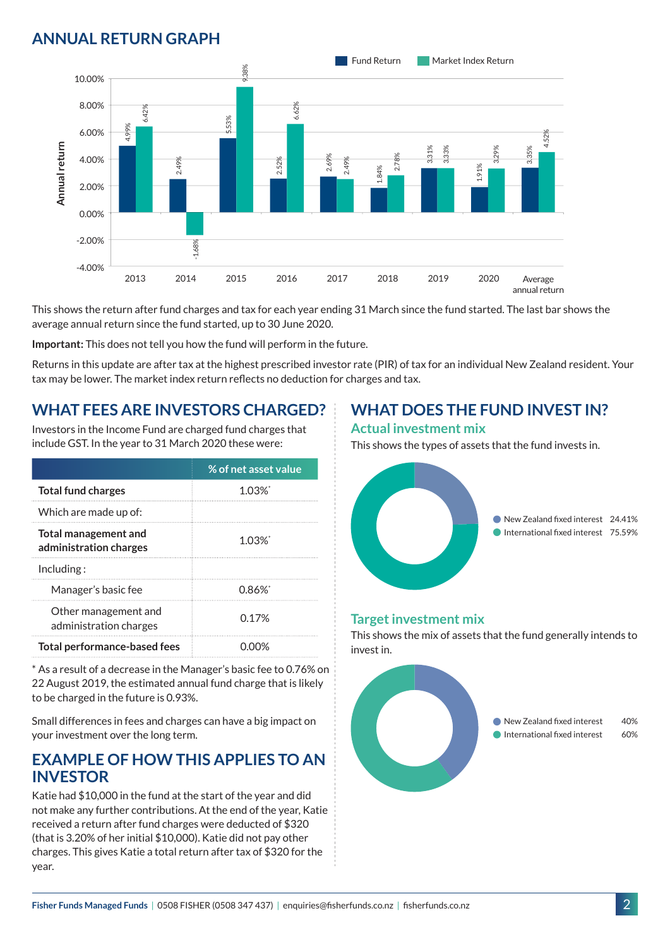### **ANNUAL RETURN GRAPH**



This shows the return after fund charges and tax for each year ending 31 March since the fund started. The last bar shows the average annual return since the fund started, up to 30 June 2020.

**Important:** This does not tell you how the fund will perform in the future.

Returns in this update are after tax at the highest prescribed investor rate (PIR) of tax for an individual New Zealand resident. Your tax may be lower. The market index return reflects no deduction for charges and tax.

### **WHAT FEES ARE INVESTORS CHARGED?**

Investors in the Income Fund are charged fund charges that include GST. In the year to 31 March 2020 these were:

|                                                | % of net asset value |
|------------------------------------------------|----------------------|
| <b>Total fund charges</b>                      | $1.03\%$             |
| Which are made up of:                          |                      |
| Total management and<br>administration charges | 1 0.3%້              |
| Inding:                                        |                      |
| Manager's basic fee                            | 0.86%                |
| Other management and<br>administration charges | 0.17%                |
| <b>Total performance-based fees</b>            |                      |

\* As a result of a decrease in the Manager's basic fee to 0.76% on 22 August 2019, the estimated annual fund charge that is likely to be charged in the future is 0.93%.

Small differences in fees and charges can have a big impact on your investment over the long term.

#### **EXAMPLE OF HOW THIS APPLIES TO AN INVESTOR**

Katie had \$10,000 in the fund at the start of the year and did not make any further contributions. At the end of the year, Katie received a return after fund charges were deducted of \$320 (that is 3.20% of her initial \$10,000). Katie did not pay other charges. This gives Katie a total return after tax of \$320 for the year.

### **WHAT DOES THE FUND INVEST IN?**

#### **Actual investment mix**

This shows the types of assets that the fund invests in.



#### **Target investment mix**

This shows the mix of assets that the fund generally intends to invest in.